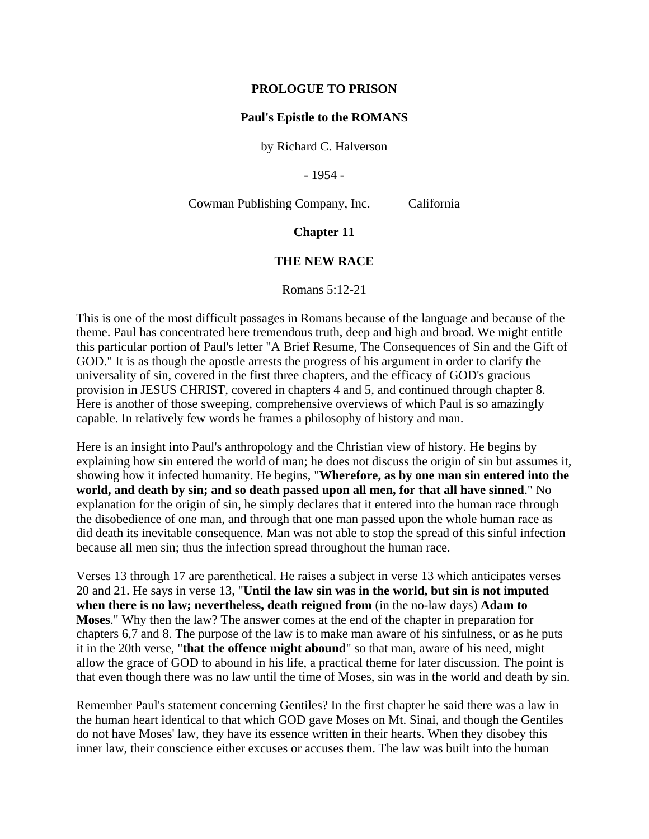#### **PROLOGUE TO PRISON**

#### **Paul's Epistle to the ROMANS**

by Richard C. Halverson

- 1954 -

Cowman Publishing Company, Inc. California

**Chapter 11**

### **THE NEW RACE**

Romans 5:12-21

This is one of the most difficult passages in Romans because of the language and because of the theme. Paul has concentrated here tremendous truth, deep and high and broad. We might entitle this particular portion of Paul's letter "A Brief Resume, The Consequences of Sin and the Gift of GOD." It is as though the apostle arrests the progress of his argument in order to clarify the universality of sin, covered in the first three chapters, and the efficacy of GOD's gracious provision in JESUS CHRIST, covered in chapters 4 and 5, and continued through chapter 8. Here is another of those sweeping, comprehensive overviews of which Paul is so amazingly capable. In relatively few words he frames a philosophy of history and man.

Here is an insight into Paul's anthropology and the Christian view of history. He begins by explaining how sin entered the world of man; he does not discuss the origin of sin but assumes it, showing how it infected humanity. He begins, "**Wherefore, as by one man sin entered into the world, and death by sin; and so death passed upon all men, for that all have sinned**." No explanation for the origin of sin, he simply declares that it entered into the human race through the disobedience of one man, and through that one man passed upon the whole human race as did death its inevitable consequence. Man was not able to stop the spread of this sinful infection because all men sin; thus the infection spread throughout the human race.

Verses 13 through 17 are parenthetical. He raises a subject in verse 13 which anticipates verses 20 and 21. He says in verse 13, "**Until the law sin was in the world, but sin is not imputed when there is no law; nevertheless, death reigned from** (in the no-law days) **Adam to Moses**." Why then the law? The answer comes at the end of the chapter in preparation for chapters 6,7 and 8. The purpose of the law is to make man aware of his sinfulness, or as he puts it in the 20th verse, "**that the offence might abound**" so that man, aware of his need, might allow the grace of GOD to abound in his life, a practical theme for later discussion. The point is that even though there was no law until the time of Moses, sin was in the world and death by sin.

Remember Paul's statement concerning Gentiles? In the first chapter he said there was a law in the human heart identical to that which GOD gave Moses on Mt. Sinai, and though the Gentiles do not have Moses' law, they have its essence written in their hearts. When they disobey this inner law, their conscience either excuses or accuses them. The law was built into the human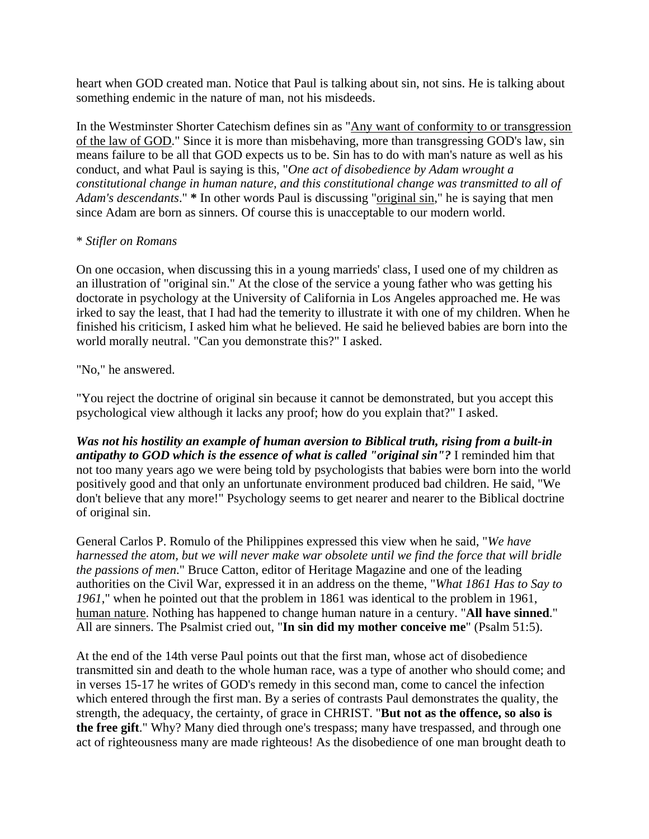heart when GOD created man. Notice that Paul is talking about sin, not sins. He is talking about something endemic in the nature of man, not his misdeeds.

In the Westminster Shorter Catechism defines sin as "Any want of conformity to or transgression of the law of GOD." Since it is more than misbehaving, more than transgressing GOD's law, sin means failure to be all that GOD expects us to be. Sin has to do with man's nature as well as his conduct, and what Paul is saying is this, "*One act of disobedience by Adam wrought a constitutional change in human nature, and this constitutional change was transmitted to all of Adam's descendants*." **\*** In other words Paul is discussing "original sin," he is saying that men since Adam are born as sinners. Of course this is unacceptable to our modern world.

## \* *Stifler on Romans*

On one occasion, when discussing this in a young marrieds' class, I used one of my children as an illustration of "original sin." At the close of the service a young father who was getting his doctorate in psychology at the University of California in Los Angeles approached me. He was irked to say the least, that I had had the temerity to illustrate it with one of my children. When he finished his criticism, I asked him what he believed. He said he believed babies are born into the world morally neutral. "Can you demonstrate this?" I asked.

# "No," he answered.

"You reject the doctrine of original sin because it cannot be demonstrated, but you accept this psychological view although it lacks any proof; how do you explain that?" I asked.

*Was not his hostility an example of human aversion to Biblical truth, rising from a built-in antipathy to GOD which is the essence of what is called "original sin"?* I reminded him that not too many years ago we were being told by psychologists that babies were born into the world positively good and that only an unfortunate environment produced bad children. He said, "We don't believe that any more!" Psychology seems to get nearer and nearer to the Biblical doctrine of original sin.

General Carlos P. Romulo of the Philippines expressed this view when he said, "*We have harnessed the atom, but we will never make war obsolete until we find the force that will bridle the passions of men*." Bruce Catton, editor of Heritage Magazine and one of the leading authorities on the Civil War, expressed it in an address on the theme, "*What 1861 Has to Say to 1961*," when he pointed out that the problem in 1861 was identical to the problem in 1961, human nature. Nothing has happened to change human nature in a century. "**All have sinned**." All are sinners. The Psalmist cried out, "**In sin did my mother conceive me**" (Psalm 51:5).

At the end of the 14th verse Paul points out that the first man, whose act of disobedience transmitted sin and death to the whole human race, was a type of another who should come; and in verses 15-17 he writes of GOD's remedy in this second man, come to cancel the infection which entered through the first man. By a series of contrasts Paul demonstrates the quality, the strength, the adequacy, the certainty, of grace in CHRIST. "**But not as the offence, so also is the free gift**." Why? Many died through one's trespass; many have trespassed, and through one act of righteousness many are made righteous! As the disobedience of one man brought death to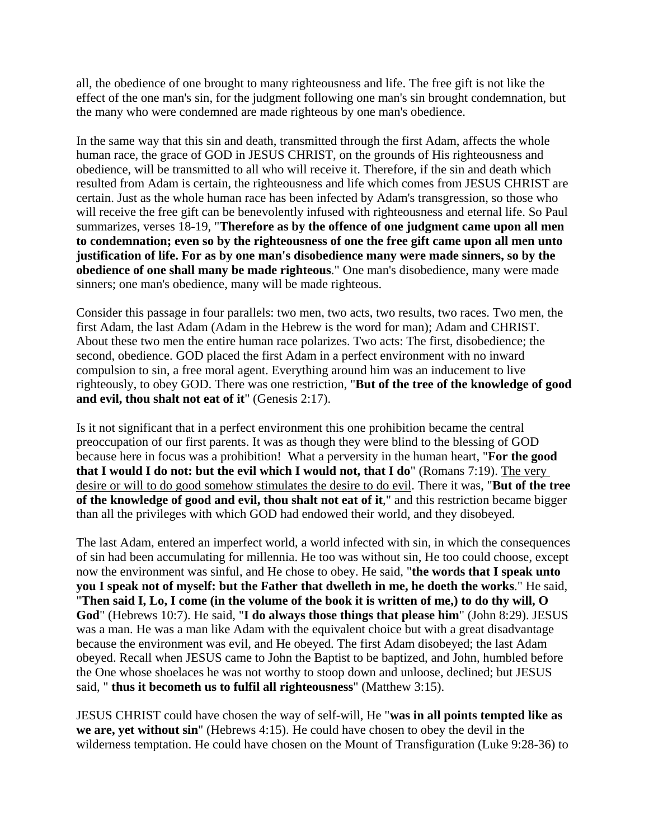all, the obedience of one brought to many righteousness and life. The free gift is not like the effect of the one man's sin, for the judgment following one man's sin brought condemnation, but the many who were condemned are made righteous by one man's obedience.

In the same way that this sin and death, transmitted through the first Adam, affects the whole human race, the grace of GOD in JESUS CHRIST, on the grounds of His righteousness and obedience, will be transmitted to all who will receive it. Therefore, if the sin and death which resulted from Adam is certain, the righteousness and life which comes from JESUS CHRIST are certain. Just as the whole human race has been infected by Adam's transgression, so those who will receive the free gift can be benevolently infused with righteousness and eternal life. So Paul summarizes, verses 18-19, "**Therefore as by the offence of one judgment came upon all men to condemnation; even so by the righteousness of one the free gift came upon all men unto justification of life. For as by one man's disobedience many were made sinners, so by the obedience of one shall many be made righteous**." One man's disobedience, many were made sinners; one man's obedience, many will be made righteous.

Consider this passage in four parallels: two men, two acts, two results, two races. Two men, the first Adam, the last Adam (Adam in the Hebrew is the word for man); Adam and CHRIST. About these two men the entire human race polarizes. Two acts: The first, disobedience; the second, obedience. GOD placed the first Adam in a perfect environment with no inward compulsion to sin, a free moral agent. Everything around him was an inducement to live righteously, to obey GOD. There was one restriction, "**But of the tree of the knowledge of good and evil, thou shalt not eat of it**" (Genesis 2:17).

Is it not significant that in a perfect environment this one prohibition became the central preoccupation of our first parents. It was as though they were blind to the blessing of GOD because here in focus was a prohibition! What a perversity in the human heart, "**For the good that I would I do not: but the evil which I would not, that I do**" (Romans 7:19). The very desire or will to do good somehow stimulates the desire to do evil. There it was, "**But of the tree of the knowledge of good and evil, thou shalt not eat of it**," and this restriction became bigger than all the privileges with which GOD had endowed their world, and they disobeyed.

The last Adam, entered an imperfect world, a world infected with sin, in which the consequences of sin had been accumulating for millennia. He too was without sin, He too could choose, except now the environment was sinful, and He chose to obey. He said, "**the words that I speak unto you I speak not of myself: but the Father that dwelleth in me, he doeth the works**." He said, "**Then said I, Lo, I come (in the volume of the book it is written of me,) to do thy will, O God**" (Hebrews 10:7). He said, "**I do always those things that please him**" (John 8:29). JESUS was a man. He was a man like Adam with the equivalent choice but with a great disadvantage because the environment was evil, and He obeyed. The first Adam disobeyed; the last Adam obeyed. Recall when JESUS came to John the Baptist to be baptized, and John, humbled before the One whose shoelaces he was not worthy to stoop down and unloose, declined; but JESUS said, " **thus it becometh us to fulfil all righteousness**" (Matthew 3:15).

JESUS CHRIST could have chosen the way of self-will, He "**was in all points tempted like as we are, yet without sin**" (Hebrews 4:15). He could have chosen to obey the devil in the wilderness temptation. He could have chosen on the Mount of Transfiguration (Luke 9:28-36) to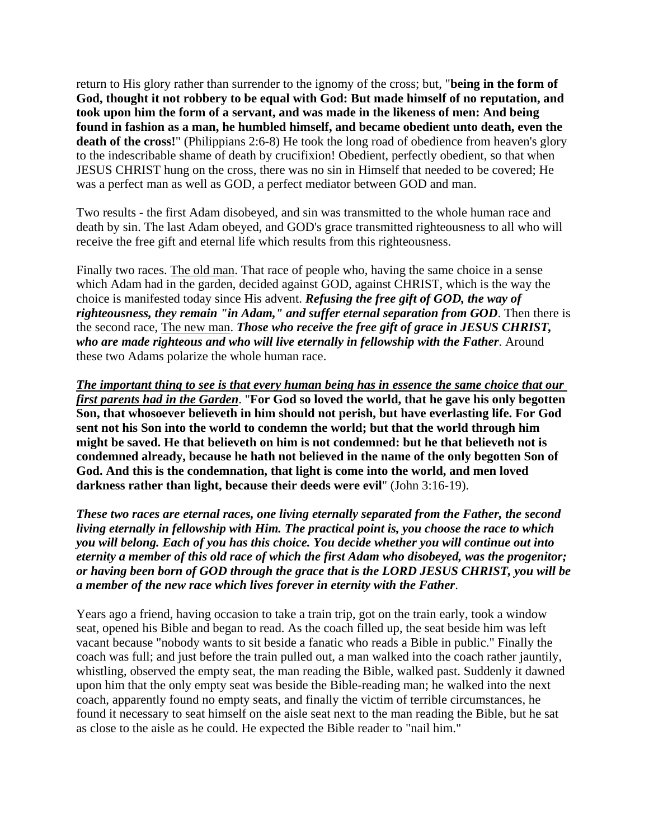return to His glory rather than surrender to the ignomy of the cross; but, "**being in the form of God, thought it not robbery to be equal with God: But made himself of no reputation, and took upon him the form of a servant, and was made in the likeness of men: And being found in fashion as a man, he humbled himself, and became obedient unto death, even the death of the cross!**" (Philippians 2:6-8) He took the long road of obedience from heaven's glory to the indescribable shame of death by crucifixion! Obedient, perfectly obedient, so that when JESUS CHRIST hung on the cross, there was no sin in Himself that needed to be covered; He was a perfect man as well as GOD, a perfect mediator between GOD and man.

Two results - the first Adam disobeyed, and sin was transmitted to the whole human race and death by sin. The last Adam obeyed, and GOD's grace transmitted righteousness to all who will receive the free gift and eternal life which results from this righteousness.

Finally two races. The old man. That race of people who, having the same choice in a sense which Adam had in the garden, decided against GOD, against CHRIST, which is the way the choice is manifested today since His advent. *Refusing the free gift of GOD, the way of righteousness, they remain "in Adam," and suffer eternal separation from GOD*. Then there is the second race, The new man. *Those who receive the free gift of grace in JESUS CHRIST, who are made righteous and who will live eternally in fellowship with the Father*. Around these two Adams polarize the whole human race.

*The important thing to see is that every human being has in essence the same choice that our first parents had in the Garden*. "**For God so loved the world, that he gave his only begotten Son, that whosoever believeth in him should not perish, but have everlasting life. For God sent not his Son into the world to condemn the world; but that the world through him might be saved. He that believeth on him is not condemned: but he that believeth not is condemned already, because he hath not believed in the name of the only begotten Son of God. And this is the condemnation, that light is come into the world, and men loved darkness rather than light, because their deeds were evil**" (John 3:16-19).

*These two races are eternal races, one living eternally separated from the Father, the second living eternally in fellowship with Him. The practical point is, you choose the race to which you will belong. Each of you has this choice. You decide whether you will continue out into eternity a member of this old race of which the first Adam who disobeyed, was the progenitor; or having been born of GOD through the grace that is the LORD JESUS CHRIST, you will be a member of the new race which lives forever in eternity with the Father*.

Years ago a friend, having occasion to take a train trip, got on the train early, took a window seat, opened his Bible and began to read. As the coach filled up, the seat beside him was left vacant because "nobody wants to sit beside a fanatic who reads a Bible in public." Finally the coach was full; and just before the train pulled out, a man walked into the coach rather jauntily, whistling, observed the empty seat, the man reading the Bible, walked past. Suddenly it dawned upon him that the only empty seat was beside the Bible-reading man; he walked into the next coach, apparently found no empty seats, and finally the victim of terrible circumstances, he found it necessary to seat himself on the aisle seat next to the man reading the Bible, but he sat as close to the aisle as he could. He expected the Bible reader to "nail him."